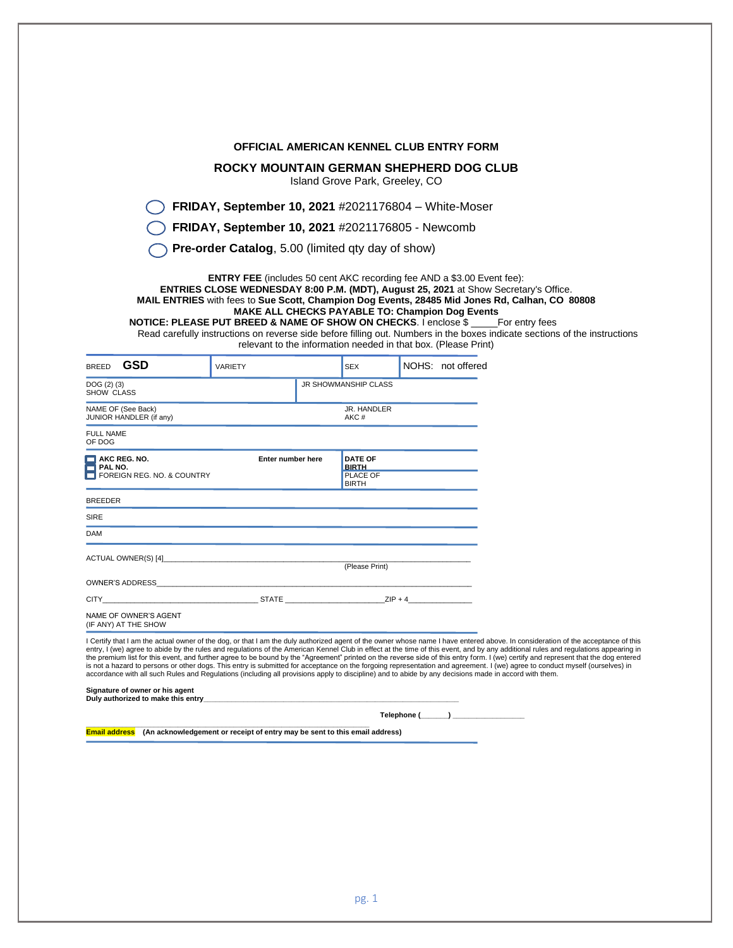|                                                                                                                                                                                                                                                                                                                                                                                                                                                                                                                                                                                                                                                                                                                                                                                                                                                                                                                                                                                                                                                                                                                                  |                                                                                                                                                                                                                                                                                                                                                                                                                                                                                                    |  |                                                            | <b>OFFICIAL AMERICAN KENNEL CLUB ENTRY FORM</b>                                                                   |  |
|----------------------------------------------------------------------------------------------------------------------------------------------------------------------------------------------------------------------------------------------------------------------------------------------------------------------------------------------------------------------------------------------------------------------------------------------------------------------------------------------------------------------------------------------------------------------------------------------------------------------------------------------------------------------------------------------------------------------------------------------------------------------------------------------------------------------------------------------------------------------------------------------------------------------------------------------------------------------------------------------------------------------------------------------------------------------------------------------------------------------------------|----------------------------------------------------------------------------------------------------------------------------------------------------------------------------------------------------------------------------------------------------------------------------------------------------------------------------------------------------------------------------------------------------------------------------------------------------------------------------------------------------|--|------------------------------------------------------------|-------------------------------------------------------------------------------------------------------------------|--|
|                                                                                                                                                                                                                                                                                                                                                                                                                                                                                                                                                                                                                                                                                                                                                                                                                                                                                                                                                                                                                                                                                                                                  | ROCKY MOUNTAIN GERMAN SHEPHERD DOG CLUB                                                                                                                                                                                                                                                                                                                                                                                                                                                            |  |                                                            |                                                                                                                   |  |
|                                                                                                                                                                                                                                                                                                                                                                                                                                                                                                                                                                                                                                                                                                                                                                                                                                                                                                                                                                                                                                                                                                                                  |                                                                                                                                                                                                                                                                                                                                                                                                                                                                                                    |  | Island Grove Park, Greeley, CO                             |                                                                                                                   |  |
|                                                                                                                                                                                                                                                                                                                                                                                                                                                                                                                                                                                                                                                                                                                                                                                                                                                                                                                                                                                                                                                                                                                                  | FRIDAY, September 10, 2021 #2021176804 - White-Moser                                                                                                                                                                                                                                                                                                                                                                                                                                               |  |                                                            |                                                                                                                   |  |
|                                                                                                                                                                                                                                                                                                                                                                                                                                                                                                                                                                                                                                                                                                                                                                                                                                                                                                                                                                                                                                                                                                                                  | FRIDAY, September 10, 2021 #2021176805 - Newcomb                                                                                                                                                                                                                                                                                                                                                                                                                                                   |  |                                                            |                                                                                                                   |  |
|                                                                                                                                                                                                                                                                                                                                                                                                                                                                                                                                                                                                                                                                                                                                                                                                                                                                                                                                                                                                                                                                                                                                  | <b>Pre-order Catalog, 5.00 (limited qty day of show)</b>                                                                                                                                                                                                                                                                                                                                                                                                                                           |  |                                                            |                                                                                                                   |  |
|                                                                                                                                                                                                                                                                                                                                                                                                                                                                                                                                                                                                                                                                                                                                                                                                                                                                                                                                                                                                                                                                                                                                  | <b>ENTRY FEE</b> (includes 50 cent AKC recording fee AND a \$3.00 Event fee):<br>ENTRIES CLOSE WEDNESDAY 8:00 P.M. (MDT), August 25, 2021 at Show Secretary's Office.<br>MAIL ENTRIES with fees to Sue Scott, Champion Dog Events, 28485 Mid Jones Rd, Calhan, CO 80808<br><b>NOTICE: PLEASE PUT BREED &amp; NAME OF SHOW ON CHECKS. I enclose \$</b> For entry fees<br>Read carefully instructions on reverse side before filling out. Numbers in the boxes indicate sections of the instructions |  |                                                            | MAKE ALL CHECKS PAYABLE TO: Champion Dog Events<br>relevant to the information needed in that box. (Please Print) |  |
| <b>GSD</b><br><b>BREED</b>                                                                                                                                                                                                                                                                                                                                                                                                                                                                                                                                                                                                                                                                                                                                                                                                                                                                                                                                                                                                                                                                                                       | VARIETY                                                                                                                                                                                                                                                                                                                                                                                                                                                                                            |  | <b>SEX</b>                                                 | NOHS: not offered                                                                                                 |  |
| DOG(2)(3)<br>SHOW CLASS                                                                                                                                                                                                                                                                                                                                                                                                                                                                                                                                                                                                                                                                                                                                                                                                                                                                                                                                                                                                                                                                                                          |                                                                                                                                                                                                                                                                                                                                                                                                                                                                                                    |  | JR SHOWMANSHIP CLASS                                       |                                                                                                                   |  |
| NAME OF (See Back)<br>JUNIOR HANDLER (if any)                                                                                                                                                                                                                                                                                                                                                                                                                                                                                                                                                                                                                                                                                                                                                                                                                                                                                                                                                                                                                                                                                    |                                                                                                                                                                                                                                                                                                                                                                                                                                                                                                    |  |                                                            |                                                                                                                   |  |
| <b>FULL NAME</b>                                                                                                                                                                                                                                                                                                                                                                                                                                                                                                                                                                                                                                                                                                                                                                                                                                                                                                                                                                                                                                                                                                                 |                                                                                                                                                                                                                                                                                                                                                                                                                                                                                                    |  | AKC#                                                       |                                                                                                                   |  |
| OF DOG                                                                                                                                                                                                                                                                                                                                                                                                                                                                                                                                                                                                                                                                                                                                                                                                                                                                                                                                                                                                                                                                                                                           |                                                                                                                                                                                                                                                                                                                                                                                                                                                                                                    |  |                                                            |                                                                                                                   |  |
|                                                                                                                                                                                                                                                                                                                                                                                                                                                                                                                                                                                                                                                                                                                                                                                                                                                                                                                                                                                                                                                                                                                                  |                                                                                                                                                                                                                                                                                                                                                                                                                                                                                                    |  |                                                            |                                                                                                                   |  |
|                                                                                                                                                                                                                                                                                                                                                                                                                                                                                                                                                                                                                                                                                                                                                                                                                                                                                                                                                                                                                                                                                                                                  | Enter number here                                                                                                                                                                                                                                                                                                                                                                                                                                                                                  |  | <b>DATE OF</b><br><b>BIRTH</b><br>PLACE OF<br><b>BIRTH</b> |                                                                                                                   |  |
|                                                                                                                                                                                                                                                                                                                                                                                                                                                                                                                                                                                                                                                                                                                                                                                                                                                                                                                                                                                                                                                                                                                                  |                                                                                                                                                                                                                                                                                                                                                                                                                                                                                                    |  |                                                            |                                                                                                                   |  |
|                                                                                                                                                                                                                                                                                                                                                                                                                                                                                                                                                                                                                                                                                                                                                                                                                                                                                                                                                                                                                                                                                                                                  |                                                                                                                                                                                                                                                                                                                                                                                                                                                                                                    |  |                                                            |                                                                                                                   |  |
|                                                                                                                                                                                                                                                                                                                                                                                                                                                                                                                                                                                                                                                                                                                                                                                                                                                                                                                                                                                                                                                                                                                                  |                                                                                                                                                                                                                                                                                                                                                                                                                                                                                                    |  |                                                            |                                                                                                                   |  |
|                                                                                                                                                                                                                                                                                                                                                                                                                                                                                                                                                                                                                                                                                                                                                                                                                                                                                                                                                                                                                                                                                                                                  |                                                                                                                                                                                                                                                                                                                                                                                                                                                                                                    |  | (Please Print)                                             |                                                                                                                   |  |
|                                                                                                                                                                                                                                                                                                                                                                                                                                                                                                                                                                                                                                                                                                                                                                                                                                                                                                                                                                                                                                                                                                                                  |                                                                                                                                                                                                                                                                                                                                                                                                                                                                                                    |  |                                                            |                                                                                                                   |  |
|                                                                                                                                                                                                                                                                                                                                                                                                                                                                                                                                                                                                                                                                                                                                                                                                                                                                                                                                                                                                                                                                                                                                  | _ STATE __________________________                                                                                                                                                                                                                                                                                                                                                                                                                                                                 |  | $ZIP + 4$                                                  |                                                                                                                   |  |
|                                                                                                                                                                                                                                                                                                                                                                                                                                                                                                                                                                                                                                                                                                                                                                                                                                                                                                                                                                                                                                                                                                                                  |                                                                                                                                                                                                                                                                                                                                                                                                                                                                                                    |  |                                                            |                                                                                                                   |  |
| $\Box$ AKC REG. NO.<br>$\Box$ PAL NO.<br>FOREIGN REG. NO. & COUNTRY<br><b>BREEDER</b><br><b>SIRE</b><br>DAM<br>ACTUAL OWNER(S) [4]<br><b>OWNER'S ADDRESS</b><br>CITY<br>NAME OF OWNER'S AGENT<br>(IF ANY) AT THE SHOW<br>I Certify that I am the actual owner of the dog, or that I am the duly authorized agent of the owner whose name I have entered above. In consideration of the acceptance of this<br>entry, I (we) agree to abide by the rules and regulations of the American Kennel Club in effect at the time of this event, and by any additional rules and regulations appearing in<br>the premium list for this event, and further agree to be bound by the "Agreement" printed on the reverse side of this entry form, I (we) certify and represent that the dog entered<br>is not a hazard to persons or other dogs. This entry is submitted for acceptance on the forgoing representation and agreement. I (we) agree to conduct myself (ourselves) in<br>accordance with all such Rules and Regulations (including all provisions apply to discipline) and to abide by any decisions made in accord with them. |                                                                                                                                                                                                                                                                                                                                                                                                                                                                                                    |  |                                                            |                                                                                                                   |  |
|                                                                                                                                                                                                                                                                                                                                                                                                                                                                                                                                                                                                                                                                                                                                                                                                                                                                                                                                                                                                                                                                                                                                  |                                                                                                                                                                                                                                                                                                                                                                                                                                                                                                    |  |                                                            |                                                                                                                   |  |
| Signature of owner or his agent<br>Duly authorized to make this entry example to a state of the state of the state of the basic state of the state of the state of the state of the state of the state of the state of the state of the state of the state of the                                                                                                                                                                                                                                                                                                                                                                                                                                                                                                                                                                                                                                                                                                                                                                                                                                                                |                                                                                                                                                                                                                                                                                                                                                                                                                                                                                                    |  |                                                            |                                                                                                                   |  |